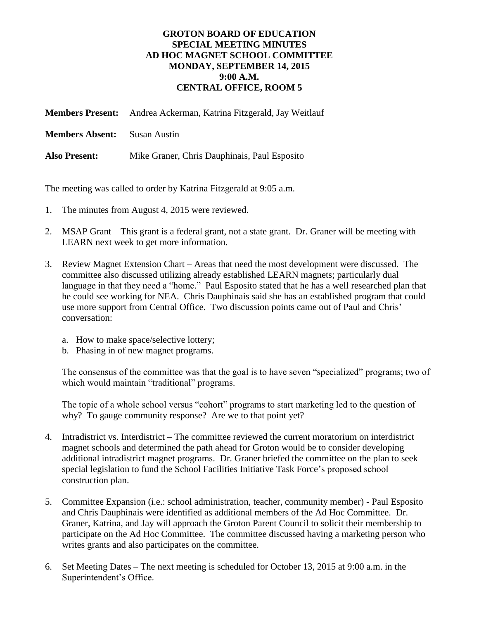## **GROTON BOARD OF EDUCATION SPECIAL MEETING MINUTES AD HOC MAGNET SCHOOL COMMITTEE MONDAY, SEPTEMBER 14, 2015 9:00 A.M. CENTRAL OFFICE, ROOM 5**

**Members Present:** Andrea Ackerman, Katrina Fitzgerald, Jay Weitlauf

**Members Absent:** Susan Austin

**Also Present:** Mike Graner, Chris Dauphinais, Paul Esposito

The meeting was called to order by Katrina Fitzgerald at 9:05 a.m.

- 1. The minutes from August 4, 2015 were reviewed.
- 2. MSAP Grant This grant is a federal grant, not a state grant. Dr. Graner will be meeting with LEARN next week to get more information.
- 3. Review Magnet Extension Chart Areas that need the most development were discussed. The committee also discussed utilizing already established LEARN magnets; particularly dual language in that they need a "home." Paul Esposito stated that he has a well researched plan that he could see working for NEA. Chris Dauphinais said she has an established program that could use more support from Central Office. Two discussion points came out of Paul and Chris' conversation:
	- a. How to make space/selective lottery;
	- b. Phasing in of new magnet programs.

The consensus of the committee was that the goal is to have seven "specialized" programs; two of which would maintain "traditional" programs.

The topic of a whole school versus "cohort" programs to start marketing led to the question of why? To gauge community response? Are we to that point yet?

- 4. Intradistrict vs. Interdistrict The committee reviewed the current moratorium on interdistrict magnet schools and determined the path ahead for Groton would be to consider developing additional intradistrict magnet programs. Dr. Graner briefed the committee on the plan to seek special legislation to fund the School Facilities Initiative Task Force's proposed school construction plan.
- 5. Committee Expansion (i.e.: school administration, teacher, community member) Paul Esposito and Chris Dauphinais were identified as additional members of the Ad Hoc Committee. Dr. Graner, Katrina, and Jay will approach the Groton Parent Council to solicit their membership to participate on the Ad Hoc Committee. The committee discussed having a marketing person who writes grants and also participates on the committee.
- 6. Set Meeting Dates The next meeting is scheduled for October 13, 2015 at 9:00 a.m. in the Superintendent's Office.